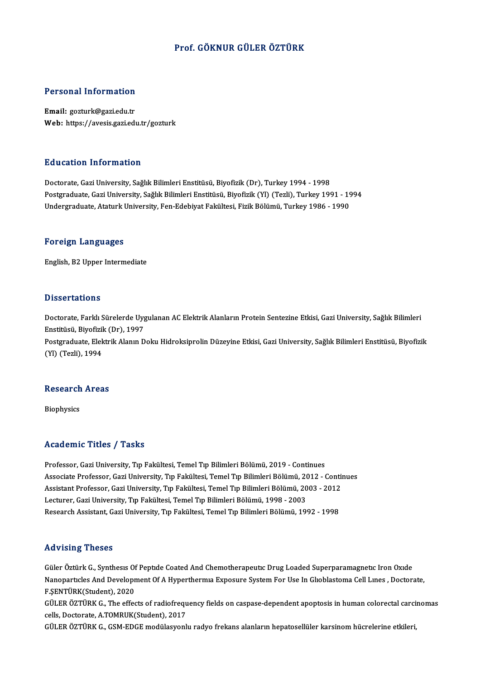### Prof. GÖKNUR GÜLER ÖZTÜRK

### Personal Information

Email: gozturk@gazi.edu.tr Web: https://avesis.gazi.edu.tr/gozturk

### Education Information

Doctorate, Gazi University, Sağlık Bilimleri Enstitüsü, Biyofizik (Dr), Turkey 1994 - 1998 Postgraduate, Gazi University, Sağlık Bilimleri Enstitüsü, Biyofizik (Yl) (Tezli), Turkey 1991 - 1994 Undergraduate, Ataturk University, Fen-Edebiyat Fakültesi, Fizik Bölümü, Turkey 1986 - 1990

### Foreign Languages

English,B2Upper Intermediate

### **Dissertations**

Dissertations<br>Doctorate, Farklı Sürelerde Uygulanan AC Elektrik Alanların Protein Sentezine Etkisi, Gazi University, Sağlık Bilimleri<br>Enstitüsü, Bivofisik (Dr), 1997 Bisson tationis<br>Doctorate, Farklı Sürelerde Uyg<br>Enstitüsü, Biyofizik (Dr), 1997<br>Bostaraduate, Elektrik Alanın D Doctorate, Farklı Sürelerde Uygulanan AC Elektrik Alanların Protein Sentezine Etkisi, Gazi University, Sağlık Bilimleri<br>Enstitüsü, Biyofizik (Dr), 1997<br>Postgraduate, Elektrik Alanın Doku Hidroksiprolin Düzeyine Etkisi, Gaz Enstitüsü, Biyofizil<br>Postgraduate, Elek<br>(Yl) (Tezli), 1994

# (Yl) (Tezli), 1994<br>Research Areas

Biophysics

### Academic Titles / Tasks

Professor, Gazi University, Tıp Fakültesi, Temel Tıp Bilimleri Bölümü, 2019 - Continues Associate Articus 7 - 1 1988<br>Professor, Gazi University, Tıp Fakültesi, Temel Tıp Bilimleri Bölümü, 2019 - Continues<br>Associate Professor, Gazi University, Tıp Fakültesi, Temel Tıp Bilimleri Bölümü, 2012 - Continues<br>Assista Professor, Gazi University, Tıp Fakültesi, Temel Tıp Bilimleri Bölümü, 2019 - Continues<br>Associate Professor, Gazi University, Tıp Fakültesi, Temel Tıp Bilimleri Bölümü, 2012 - Contin<br>Assistant Professor, Gazi University, T Associate Professor, Gazi University, Tıp Fakültesi, Temel Tıp Bilimleri Bölümü, 20<br>Assistant Professor, Gazi University, Tıp Fakültesi, Temel Tıp Bilimleri Bölümü, 20<br>Lecturer, Gazi University, Tıp Fakültesi, Temel Tıp Bi Assistant Professor, Gazi University, Tıp Fakültesi, Temel Tıp Bilimleri Bölümü, 2003 - 2012<br>Lecturer, Gazi University, Tıp Fakültesi, Temel Tıp Bilimleri Bölümü, 1998 - 2003<br>Research Assistant, Gazi University, Tıp Fakült

### Advising Theses

Güler Öztürk G., Synthesis Of Peptide Coated And Chemotherapeutic Drug Loaded Superparamagnetic Iron Oxide TER VISING I NEBES<br>Güler Öztürk G., Synthesis Of Peptide Coated And Chemotherapeutic Drug Loaded Superparamagnetic Iron Oxide<br>Nanoparticles And Development Of A Hyperthermia Exposure System For Use In Glioblastoma Cell Lin Güler Öztürk G., Synthesis Of<br>Nanoparticles And Developr<br>F.ŞENTÜRK(Student), 2020<br>CÜLER ÖZTÜRK G. The effec Nanoparticles And Development Of A Hyperthermia Exposure System For Use In Glioblastoma Cell Lines , Doctorate,<br>F.ŞENTÜRK(Student), 2020<br>GÜLER ÖZTÜRK G., The effects of radiofrequency fields on caspase-dependent apoptosis

F.ŞENTÜRK(Student), 2020<br>GÜLER ÖZTÜRK G., The effects of radiofrequ<br>cells, Doctorate, A.TOMRUK(Student), 2017<br>CÜLER ÖZTÜRK G. CSM EDGE modülasyonl GÜLER ÖZTÜRK G., The effects of radiofrequency fields on caspase-dependent apoptosis in human colorectal carci<br>cells, Doctorate, A.TOMRUK(Student), 2017<br>GÜLER ÖZTÜRK G., GSM-EDGE modülasyonlu radyo frekans alanların hepato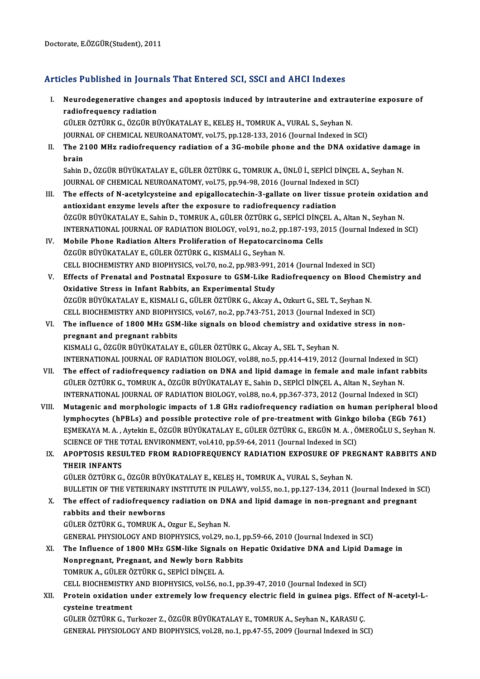## Articles Published in Journals That Entered SCI, SSCI and AHCI Indexes

rticles Published in Journals That Entered SCI, SSCI and AHCI Indexes<br>I. Neurodegenerative changes and apoptosis induced by intrauterine and extrauterine exposure of<br>redisfrequency redistion radiofrequency radiofrequency radiation<br>radiofrequency radiation<br>CULED ÖZTÜDK C. ÖZCÜD PI Neurodegenerative changes and apoptosis induced by intrauterine and extrau<br>radiofrequency radiation<br>GÜLER ÖZTÜRK G., ÖZGÜR BÜYÜKATALAY E., KELEŞ H., TOMRUK A., VURAL S., Seyhan N.<br>JOUPNAL OF CHEMICAL NEUPOANATOMY vol 75. n

radiofrequency radiation<br>GÜLER ÖZTÜRK G., ÖZGÜR BÜYÜKATALAY E., KELEŞ H., TOMRUK A., VURAL S., Seyhan N.<br>JOURNAL OF CHEMICAL NEUROANATOMY, vol.75, pp.128-133, 2016 (Journal Indexed in SCI)<br>The 2100 MHz radiofrequency radia JOURNAL OF CHEMICAL NEUROANATOMY, vol.75, pp.128-133, 2016 (Journal Indexed in SCI)

II. The 2100 MHz radiofrequency radiation of a 3G-mobile phone and the DNA oxidative damage in brain The 2100 MHz radiofrequency radiation of a 3G-mobile phone and the DNA oxidative damag<br>brain<br>Sahin D., ÖZGÜR BÜYÜKATALAY E., GÜLER ÖZTÜRK G., TOMRUK A., ÜNLÜ İ., SEPİCİ DİNÇEL A., Seyhan N.<br>JOUPMAL OE CHEMICAL NEUPOANATOMY

brain<br>Sahin D., ÖZGÜR BÜYÜKATALAY E., GÜLER ÖZTÜRK G., TOMRUK A., ÜNLÜ İ., SEPİCİ DİNÇEL<br>JOURNAL OF CHEMICAL NEUROANATOMY, vol.75, pp.94-98, 2016 (Journal Indexed in SCI)<br>The effects of N esetyleysteine and enizellesatechi JOURNAL OF CHEMICAL NEUROANATOMY, vol.75, pp.94-98, 2016 (Journal Indexed in SCI)

- III. The effects of N-acetylcysteine and epigallocatechin-3-gallate on liver tissue protein oxidation and antioxidant enzyme levels after the exposure to radiofrequency radiation ÖZGÜR BÜYÜKATALAY E., Sahin D., TOMRUK A., GÜLER ÖZTÜRK G., SEPİCİ DİNÇEL A., Altan N., Seyhan N. antioxidant enzyme levels after the exposure to radiofrequency radiation<br>ÖZGÜR BÜYÜKATALAY E., Sahin D., TOMRUK A., GÜLER ÖZTÜRK G., SEPİCİ DİNÇEL A., Altan N., Seyhan N.<br>INTERNATIONAL JOURNAL OF RADIATION BIOLOGY, vol.91, ÖZGÜR BÜYÜKATALAY E., Sahin D., TOMRUK A., GÜLER ÖZTÜRK G., SEPİCİ DİNÇI<br>INTERNATIONAL JOURNAL OF RADIATION BIOLOGY, vol.91, no.2, pp.187-193, 2<br>IV. Mobile Phone Radiation Alters Proliferation of Hepatocarcinoma Cells<br>ÖZGÜ
- INTERNATIONAL JOURNAL OF RADIATION BIOLOGY, vol.91, no.2, p<sub>r</sub><br>Mobile Phone Radiation Alters Proliferation of Hepatocarcir<br>ÖZGÜR BÜYÜKATALAY E., GÜLER ÖZTÜRK G., KISMALI G., Seyhan N.<br>CELL BIOCHEMISTRY AND BIORHYSICS vol.7 Mobile Phone Radiation Alters Proliferation of Hepatocarcinoma Cells<br>ÖZGÜR BÜYÜKATALAY E., GÜLER ÖZTÜRK G., KISMALI G., Seyhan N.<br>CELL BIOCHEMISTRY AND BIOPHYSICS, vol.70, no.2, pp.983-991, 2014 (Journal Indexed in SCI)<br>Ef
- ÖZGÜR BÜYÜKATALAY E., GÜLER ÖZTÜRK G., KISMALI G., Seyhan N.<br>CELL BIOCHEMISTRY AND BIOPHYSICS, vol.70, no.2, pp.983-991, 2014 (Journal Indexed in SCI)<br>V. Effects of Prenatal and Postnatal Exposure to GSM-Like Radiofrequenc CELL BIOCHEMISTRY AND BIOPHYSICS, vol.70, no.2, pp.983-991,<br>Effects of Prenatal and Postnatal Exposure to GSM-Like R<br>Oxidative Stress in Infant Rabbits, an Experimental Study<br>ÖZCÜP PÜVÜKATALAV E. KISMALLE, CÜLEP ÖZTÜPK C. ÖZGÜR BÜYÜKATALAY E., KISMALI G., GÜLER ÖZTÜRK G., Akcay A., Ozkurt G., SEL T., Seyhan N. Oxidative Stress in Infant Rabbits, an Experimental Study<br>ÖZGÜR BÜYÜKATALAY E., KISMALI G., GÜLER ÖZTÜRK G., Akcay A., Ozkurt G., SEL T., Seyhan N.<br>CELL BIOCHEMISTRY AND BIOPHYSICS, vol.67, no.2, pp.743-751, 2013 (Journal
- VI. The influence of 1800 MHz GSM-like signals on blood chemistry and oxidative stress in non-**CELL BIOCHEMISTRY AND BIOPHY<br>The influence of 1800 MHz GSM<br>pregnant and pregnant rabbits<br>EXISMALLG ÖZGÜR RÜVÜKATALAV** KISMALI G., ÖZGÜR BÜYÜKATALAY E., GÜLER ÖZTÜRK G., Akcay A., SEL T., Seyhan N. INTERNATIONAL JOURNAL OF RADIATION BIOLOGY, vol.88, no.5, pp.414-419, 2012 (Journal Indexed in SCI)
- VII. The effect of radiofrequency radiation on DNA and lipid damage in female and male infant rabbits GÜLER ÖZTÜRK G., TOMRUK A., ÖZGÜR BÜYÜKATALAY E., Sahin D., SEPİCİ DİNÇEL A., Altan N., Seyhan N. The effect of radiofrequency radiation on DNA and lipid damage in female and male infant rabbi<br>GÜLER ÖZTÜRK G., TOMRUK A., ÖZGÜR BÜYÜKATALAY E., Sahin D., SEPİCİ DİNÇEL A., Altan N., Seyhan N.<br>INTERNATIONAL JOURNAL OF RADI GÜLER ÖZTÜRK G., TOMRUK A., ÖZGÜR BÜYÜKATALAY E., Sahin D., SEPİCİ DİNÇEL A., Altan N., Seyhan N.<br>INTERNATIONAL JOURNAL OF RADIATION BIOLOGY, vol.88, no.4, pp.367-373, 2012 (Journal Indexed in SCI)<br>VIII. Mutagenic and morp
- INTERNATIONAL JOURNAL OF RADIATION BIOLOGY, vol.88, no.4, pp.367-373, 2012 (Journal Indexed in SCI)<br>Mutagenic and morphologic impacts of 1.8 GHz radiofrequency radiation on human peripheral blo<br>lymphocytes (hPBLs) and poss Mutagenic and morphologic impacts of 1.8 GHz radiofrequency radiation on human peripheral blood<br>lymphocytes (hPBLs) and possible protective role of pre-treatment with Ginkgo biloba (EGb 761)<br>ESMEKAYA M. A. , Aytekin E., ÖZ lymphocytes (hPBLs) and possible protective role of pre-treatment with Ginkgo<br>EŞMEKAYA M. A. , Aytekin E., ÖZGÜR BÜYÜKATALAY E., GÜLER ÖZTÜRK G., ERGÜN M. A. , Ö<br>SCIENCE OF THE TOTAL ENVIRONMENT, vol.410, pp.59-64, 2011 (J EŞMEKAYA M. A. , Aytekin E., ÖZGÜR BÜYÜKATALAY E., GÜLER ÖZTÜRK G., ERGÜN M. A. , ÖMEROĞLU S., Seyhan N.<br>SCIENCE OF THE TOTAL ENVIRONMENT, vol.410, pp.59-64, 2011 (Journal Indexed in SCI)<br>IX. APOPTOSIS RESULTED FROM RA

# SCIENCE OF THE T<br>APOPTOSIS RESI<br>THEIR INFANTS<br>CÜLEP ÖZTÜPK C APOPTOSIS RESULTED FROM RADIOFREQUENCY RADIATION EXPOSURE OF PRI<br>THEIR INFANTS<br>GÜLER ÖZTÜRK G., ÖZGÜR BÜYÜKATALAY E., KELEŞ H., TOMRUK A., VURAL S., Seyhan N.<br>PULLETIN OF THE VETEPINARY INSTITUTE IN PULAWY .vol££ no.1 nn 1

THEIR INFANTS<br>GÜLER ÖZTÜRK G., ÖZGÜR BÜYÜKATALAY E., KELEŞ H., TOMRUK A., VURAL S., Seyhan N.<br>BULLETIN OF THE VETERINARY INSTITUTE IN PULAWY, vol.55, no.1, pp.127-134, 2011 (Journal Indexed in SCI)<br>The effect of radiofrequ GÜLER ÖZTÜRK G., ÖZGÜR BÜYÜKATALAY E., KELEŞ H., TOMRUK A., VURAL S., Seyhan N.<br>BULLETIN OF THE VETERINARY INSTITUTE IN PULAWY, vol.55, no.1, pp.127-134, 2011 (Journal Indexed in :<br>X. The effect of radiofrequency radiation

BULLETIN OF THE VETERINARY<br>The effect of radiofrequency<br>rabbits and their newborns<br>CÜLEP ÖZTÜPK C. TOMPUK A X. The effect of radiofrequency radiation on DNA and lipid damage in non-pregnant and pregnant rabbits and their newborns<br>GÜLER ÖZTÜRK G., TOMRUK A., Ozgur E., Seyhan N.

GENERAL PHYSIOLOGYANDBIOPHYSICS,vol.29,no.1,pp.59-66,2010 (Journal Indexed inSCI)

GÜLER ÖZTÜRK G., TOMRUK A., Ozgur E., Seyhan N.<br>GENERAL PHYSIOLOGY AND BIOPHYSICS, vol.29, no.1, pp.59-66, 2010 (Journal Indexed in SCI)<br>XI. The Influence of 1800 MHz GSM-like Signals on Hepatic Oxidative DNA and Lipid Dam GENERAL PHYSIOLOGY AND BIOPHYSICS, vol.29, no.1, p<br>The Influence of 1800 MHz GSM-like Signals on H<br>Nonpregnant, Pregnant, and Newly born Rabbits<br>TOMBUK A. CÜLER ÖZTÜRK C. SERICI DINCEL A The Influence of 1800 MHz GSM-like Signals<br>Nonpregnant, Pregnant, and Newly born Ra<br>TOMRUK A., GÜLER ÖZTÜRK G., SEPİCİ DİNÇEL A.<br>CELL PIOCHEMISTRY AND PIOPHYSICS vel 56 no Nonpregnant, Pregnant, and Newly born Rabbits<br>TOMRUK A., GÜLER ÖZTÜRK G., SEPİCİ DİNÇEL A.<br>CELL BIOCHEMISTRY AND BIOPHYSICS, vol.56, no.1, pp.39-47, 2010 (Journal Indexed in SCI)<br>Pretein exidetian under extremely lew frequ TOMRUK A., GÜLER ÖZTÜRK G., SEPİCİ DİNÇEL A.<br>CELL BIOCHEMISTRY AND BIOPHYSICS, vol.56, no.1, pp.39-47, 2010 (Journal Indexed in SCI)<br>XII. Protein oxidation under extremely low frequency electric field in guinea pigs. E

# CELL BIOCHEMISTRY<br>Protein oxidation<br>cysteine treatment Protein oxidation under extremely low frequency electric field in guinea pigs. Effections<br>cysteine treatment<br>GÜLER ÖZTÜRK G., Turkozer Z., ÖZGÜR BÜYÜKATALAY E., TOMRUK A., Seyhan N., KARASU Ç.<br>CENERAL BUYSIQLOCY AND BIOBUY

cysteine treatment<br>GÜLER ÖZTÜRK G., Turkozer Z., ÖZGÜR BÜYÜKATALAY E., TOMRUK A., Seyhan N., KARASU Ç.<br>GENERAL PHYSIOLOGY AND BIOPHYSICS, vol.28, no.1, pp.47-55, 2009 (Journal Indexed in SCI)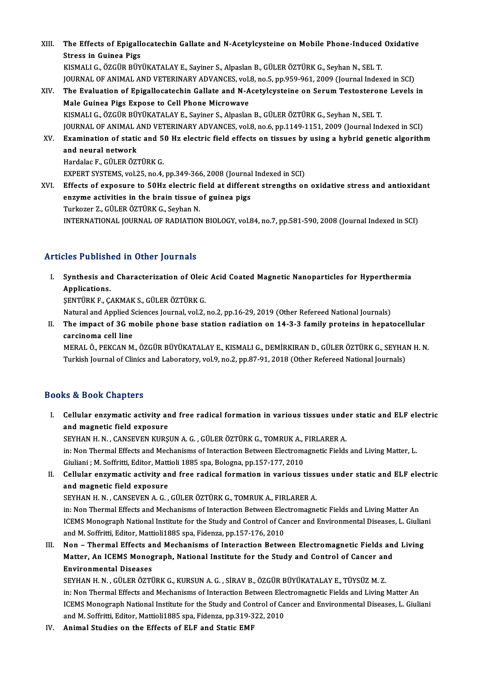- XIII. The Effects of Epigallocatechin Gallate and N-Acetylcysteine on Mobile Phone-Induced Oxidative<br>Stress in Guinee Bige **The Effects of Epigall<br>Stress in Guinea Pigs<br>KISMALLC ÖZCÜP PÜV** Stress in Guinea Pigs<br>KISMALI G., ÖZGÜR BÜYÜKATALAY E., Sayiner S., Alpaslan B., GÜLER ÖZTÜRK G., Seyhan N., SEL T. Stress in Guinea Pigs<br>KISMALI G., ÖZGÜR BÜYÜKATALAY E., Sayiner S., Alpaslan B., GÜLER ÖZTÜRK G., Seyhan N., SEL T.<br>JOURNAL OF ANIMAL AND VETERINARY ADVANCES, vol.8, no.5, pp.959-961, 2009 (Journal Indexed in SCI)<br>The Eval
- XIV. The Evaluation of Epigallocatechin Gallate and N-Acetylcysteine on Serum Testosterone Levels in<br>Male Guinea Pigs Expose to Cell Phone Microwave JOURNAL OF ANIMAL AND VETERINARY ADVANCES, vol.<br>The Evaluation of Epigallocatechin Gallate and N-A<br>Male Guinea Pigs Expose to Cell Phone Microwave<br>KISMALLO ÖZCÜP PÜVÜKATALAY E-Saviner S-Alpaslan KISMALIG.,ÖZGÜRBÜYÜKATALAYE.,Sayiner S.,AlpaslanB.,GÜLERÖZTÜRKG.,SeyhanN.,SEL T. JOURNAL OF ANIMAL AND VETERINARY ADVANCES, vol.8, no.6, pp.1149-1151, 2009 (Journal Indexed in SCI) KISMALI G., ÖZGÜR BÜYÜKATALAY E., Sayiner S., Alpaslan B., GÜLER ÖZTÜRK G., Seyhan N., SEL T.<br>JOURNAL OF ANIMAL AND VETERINARY ADVANCES, vol.8, no.6, pp.1149-1151, 2009 (Journal Indexed in SCI)<br>XV. Examination of static an **JOURNAL OF ANIMAL A**<br>Examination of station<br>and neural network<br>Hardalac E. CÜLER ÖZ
- Examination of static and 5<br>and neural network<br>Hardalac F., GÜLER ÖZTÜRK G.<br>EYBERT SYSTEMS vol 25, no.4. and neural network<br>Hardalac F., GÜLER ÖZTÜRK G.<br>EXPERT SYSTEMS, vol.25, no.4, pp.349-366, 2008 (Journal Indexed in SCI)
- XVI. Effects of exposure to 50Hz electric field at different strengths on oxidative stress and antioxidant EXPERT SYSTEMS, vol.25, no.4, pp.349-366, 2008 (Journal<br>Effects of exposure to 50Hz electric field at differe<br>enzyme activities in the brain tissue of guinea pigs<br>Turkerer 7, C<sup>(i)</sup> EP ÖZT<sup>(i)</sup>PKC, Sexban N Effects of exposure to 50Hz electric f<br>enzyme activities in the brain tissue of<br>Turkozer Z., GÜLER ÖZTÜRK G., Seyhan N.<br>INTERNATIONAL JOURNAL OF RADIATION Turkozer Z., GÜLER ÖZTÜRK G., Seyhan N.<br>INTERNATIONAL JOURNAL OF RADIATION BIOLOGY, vol.84, no.7, pp.581-590, 2008 (Journal Indexed in SCI)

## Articles Published in Other Journals

rticles Published in Other Journals<br>I. Synthesis and Characterization of Oleic Acid Coated Magnetic Nanoparticles for Hyperthermia<br>Applications Synthesis and<br>Applications.<br>SENTIDE E.C. Synthesis and Characterization of Oleic<br>Applications.<br>ŞENTÜRK F., ÇAKMAK S., GÜLER ÖZTÜRK G.<br>Natural and Applied Sciences Journal vol 2. Applications.<br>ŞENTÜRK F., ÇAKMAK S., GÜLER ÖZTÜRK G.<br>Natural and Applied Sciences Journal, vol.2, no.2, pp.16-29, 2019 (Other Refereed National Journals)<br>The impact of 3C mobile phone base station redistion op 14-3-3 fomil

SENTÜRK F., ÇAKMAK S., GÜLER ÖZTÜRK G.<br>Natural and Applied Sciences Journal, vol.2, no.2, pp.16-29, 2019 (Other Refereed National Journals)<br>II. The impact of 3G mobile phone base station radiation on 14-3-3 family proteins Natural and Applied S<br>The impact of 3G m<br>carcinoma cell line<br>MERAL Ö BEKCAN M The impact of 3G mobile phone base station radiation on 14-3-3 family proteins in hepatocellular<br>carcinoma cell line<br>MERAL Ö., PEKCAN M., ÖZGÜR BÜYÜKATALAY E., KISMALI G., DEMİRKIRAN D., GÜLER ÖZTÜRK G., SEYHAN H. N.<br>Turki

carcinoma cell line<br>MERAL Ö., PEKCAN M., ÖZGÜR BÜYÜKATALAY E., KISMALI G., DEMİRKIRAN D., GÜLER ÖZTÜRK G., SEYHA<br>Turkish Journal of Clinics and Laboratory, vol.9, no.2, pp.87-91, 2018 (Other Refereed National Journals) Turkish Journal of Clinics and Laboratory, vol.9, no.2, pp.87-91, 2018 (Other Refereed National Journals)<br>Books & Book Chapters

ooks & Book Chapters<br>I. Cellular enzymatic activity and free radical formation in various tissues under static and ELF electric<br>and megnetic field eunesure and magnetic field exposure<br>and magnetic field exposure<br>SEVUAN U.N. CANSEVEN VIDS Cellular enzymatic activity and free radical formation in various tissues unde<br>and magnetic field exposure<br>SEYHAN H. N. , CANSEVEN KURŞUN A. G. , GÜLER ÖZTÜRK G., TOMRUK A., FIRLARER A.<br>in: Non Thermal Effects and Mechanis

and magnetic field exposure<br>SEYHAN H. N. , CANSEVEN KURŞUN A. G. , GÜLER ÖZTÜRK G., TOMRUK A., FIRLARER A.<br>in: Non Thermal Effects and Mechanisms of Interaction Between Electromagnetic Fields and Living Matter, L. SEYHAN H. N. , CANSEVEN KURŞUN A. G. , GÜLER ÖZTÜRK G., TOMRUK A., l<br>in: Non Thermal Effects and Mechanisms of Interaction Between Electroma<br>Giuliani ; M. Soffritti, Editor, Mattioli 1885 spa, Bologna, pp.157-177, 2010<br>Col

II. Cellular enzymatic activity and free radical formation in various tissues under static and ELF electric and magnetic field exposure Giuliani ; M. Soffritti, Editor, Matt<br>Cellular enzymatic activity ar<br>and magnetic field exposure

SEYHAN H. N. , CANSEVEN A. G. , GÜLER ÖZTÜRK G., TOMRUK A., FIRLARER A.

in: Non Thermal Effects and Mechanisms of Interaction Between Electromagnetic Fields and Living Matter An SEYHAN H. N. , CANSEVEN A. G. , GÜLER ÖZTÜRK G., TOMRUK A., FIRLARER A.<br>in: Non Thermal Effects and Mechanisms of Interaction Between Electromagnetic Fields and Living Matter An<br>ICEMS Monograph National Institute for the S and M. Soffritti, Editor, Mattioli1885 spa, Fidenza, pp.157-176, 2010<br>III. Non – Thermal Effects and Mechanisms of Interaction Between Electromagnetic Fields and Living ICEMS Monograph National Institute for the Study and Control of Cancer and Environmental Diseases, L. Giulian<br>and M. Soffritti, Editor, Mattioli1885 spa, Fidenza, pp.157-176, 2010<br>III. Non – Thermal Effects and Mechanisms

and M. Soffritti, Editor, Mattioli1885 spa, Fidenza, pp.157-176, 2010<br>Non – Thermal Effects and Mechanisms of Interaction Between Electromagnetic Fields an<br>Matter, An ICEMS Monograph, National Institute for the Study and C Non – Thermal Effects an<br>Matter, An ICEMS Monog<br>Environmental Diseases<br>SEVUAN U.N., CÜLED ÖZTI Environmental Diseases<br>SEYHAN H. N. , GÜLER ÖZTÜRK G., KURSUN A. G. , SİRAV B., ÖZGÜR BÜYÜKATALAY E., TÜYSÜZ M. Z.

Environmental Diseases<br>SEYHAN H. N. , GÜLER ÖZTÜRK G., KURSUN A. G. , SİRAV B., ÖZGÜR BÜYÜKATALAY E., TÜYSÜZ M. Z.<br>in: Non Thermal Effects and Mechanisms of Interaction Between Electromagnetic Fields and Living Matter An<br>I ICEMS Monograph National Institute for the Study and Control of Cancer and Environmental Diseases, L. Giuliani<br>and M. Soffritti, Editor, Mattioli1885 spa, Fidenza, pp.319-322, 2010 in: Non Thermal Effects and Mechanisms of Interaction Between Electric ICEMS Monograph National Institute for the Study and Control of Ca<br>and M. Soffritti, Editor, Mattioli1885 spa, Fidenza, pp.319-322, 2010<br>Animal Studies

IV. Animal Studies on the Effects of ELF and Static EMF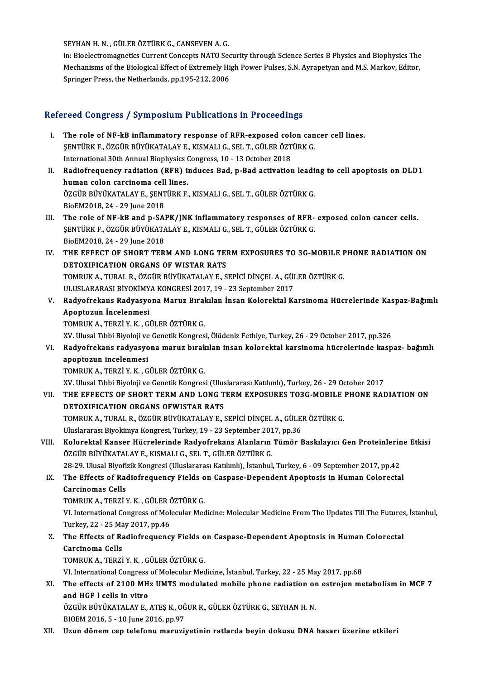SEYHAN H. N., GÜLER ÖZTÜRK G., CANSEVEN A. G.

SEYHAN H. N. , GÜLER ÖZTÜRK G., CANSEVEN A. G.<br>in: Bioelectromagnetics Current Concepts NATO Security through Science Series B Physics and Biophysics The<br>Mechanisms of the Biological Effect of Eutremaly High Bower Bulges S SEYHAN H. N. , GÜLER ÖZTÜRK G., CANSEVEN A. G.<br>in: Bioelectromagnetics Current Concepts NATO Security through Science Series B Physics and Biophysics The<br>Mechanisms of the Biological Effect of Extremely High Power Pulses, in: Bioelectromagnetics Current Concepts NATO Sec<br>Mechanisms of the Biological Effect of Extremely Hi<br>Springer Press, the Netherlands, pp.195-212, 2006

# Springer Press, the Netherlands, pp.195-212, 2006<br>Refereed Congress / Symposium Publications in Proceedings

- efereed Congress / Symposium Publications in Proceedings<br>I. The role of NF-kB inflammatory response of RFR-exposed colon cancer cell lines.<br>SENTUPLE ÖZCÜP PUVÜKATALAVE KISMALLE SELT CÜLEPÖZTÜPLE TOOR GONGLOGS / GYMPOSIAM I RENGRAMOM IN I POCCOMING.<br>The role of NF-kB inflammatory response of RFR-exposed colon can<br>SENTÜRK F., ÖZGÜR BÜYÜKATALAY E., KISMALI G., SEL T., GÜLER ÖZTÜRK G. The role of NF-kB inflammatory response of RFR-exposed col<br>ŞENTÜRK F., ÖZGÜR BÜYÜKATALAY E., KISMALI G., SEL T., GÜLER ÖZT<br>International 30th Annual Biophysics Congress, 10 - 13 October 2018<br>Padiafraguangy radiation (PEP) SENTÜRK F., ÖZGÜR BÜYÜKATALAY E., KISMALI G., SEL T., GÜLER ÖZTÜRK G.<br>International 30th Annual Biophysics Congress, 10 - 13 October 2018<br>II. Radiofrequency radiation (RFR) induces Bad, p-Bad activation leading to cell apo
- International 30th Annual Biophysics (<br>Radiofrequency radiation (RFR) in<br>human colon carcinoma cell lines.<br>ÖZCÜP PÜVÜKATALAVE, SENTÜPKE Radiofrequency radiation (RFR) induces Bad, p-Bad activation leadi<br>human colon carcinoma cell lines.<br>ÖZGÜR BÜYÜKATALAY E., ŞENTÜRK F., KISMALI G., SEL T., GÜLER ÖZTÜRK G.<br>BioEM2018 24 - 29 June 2018 human colon carcinoma cell lines.<br>ÖZGÜR BÜYÜKATALAY E., ŞENTÜRK F., KISMALI G., SEL T., GÜLER ÖZTÜRK G.<br>BioEM2018, 24 - 29 June 2018
- III. The role of NF-kB and p-SAPK/JNK inflammatory responses of RFR- exposed colon cancer cells. BioEM2018, 24 - 29 June 2018<br>The role of NF-kB and p-SAPK/JNK inflammatory responses of RFR-<br>ŞENTÜRK F., ÖZGÜR BÜYÜKATALAY E., KISMALI G., SEL T., GÜLER ÖZTÜRK G.<br>RiaEM2018, 24 - 29 June 2018 The role of NF-kB and p-SAI<br>ŞENTÜRK F., ÖZGÜR BÜYÜKATA<br>BioEM2018, 24 - 29 June 2018<br>THE EFFECT OF SHOPT TEP SENTÜRK F., ÖZGÜR BÜYÜKATALAY E., KISMALI G., SEL T., GÜLER ÖZTÜRK G.<br>BioEM2018, 24 - 29 June 2018<br>IV. THE EFFECT OF SHORT TERM AND LONG TERM EXPOSURES TO 3G-MOBILE PHONE RADIATION ON
- BioEM2018, 24 29 June 2018<br>THE EFFECT OF SHORT TERM AND LONG TEI<br>DETOXIFICATION ORGANS OF WISTAR RATS<br>TOMBUK A TUBAL B. ÖZCÜB BÜYÜKATALAY E. S THE EFFECT OF SHORT TERM AND LONG TERM EXPOSURES TO 3G-MOBILE I<br>DETOXIFICATION ORGANS OF WISTAR RATS<br>TOMRUK A., TURAL R., ÖZGÜR BÜYÜKATALAY E., SEPİCİ DİNÇEL A., GÜLER ÖZTÜRK G.<br>ULUSLARARASI RİYOKİMYA KONCRESİ 2017-19 - 22 DETOXIFICATION ORGANS OF WISTAR RATS<br>TOMRUK A., TURAL R., ÖZGÜR BÜYÜKATALAY E., SEPİCİ DİNÇEL A., GÜLER ÖZTÜRK G.<br>ULUSLARARASI BİYOKİMYA KONGRESİ 2017, 19 - 23 September 2017 TOMRUK A., TURAL R., ÖZGÜR BÜYÜKATALAY E., SEPİCİ DİNÇEL A., GÜLER ÖZTÜRK G.<br>ULUSLARARASI BİYOKİMYA KONGRESİ 2017, 19 - 23 September 2017<br>V. Radyofrekans Radyasyona Maruz Bırakılan İnsan Kolorektal Karsinoma Hücrelerin
- ULUSLARARASI BİYOKİMY<br>Radyofrekans Radyasyo<br>Apoptozun İncelenmesi<br>TOMBUK A. TERZİ Y.K. Gİ Radyofrekans Radyasyona Maruz Bıral<br>Apoptozun İncelenmesi<br>TOMRUK A., TERZİ Y. K. , GÜLER ÖZTÜRK G.<br>YV. Ulucal Tıbbi Biyalaji ve Canatik Kangres Apoptozun İncelenmesi<br>TOMRUK A., TERZİ Y. K. , GÜLER ÖZTÜRK G.<br>XV. Ulusal Tıbbi Biyoloji ve Genetik Kongresi, Ölüdeniz Fethiye, Turkey, 26 - 29 October 2017, pp.326<br>Badyofrekara radyasyona manus bırakılan insan kalarektal

# TOMRUK A., TERZİ Y. K. , GÜLER ÖZTÜRK G.<br>XV. Ulusal Tıbbi Biyoloji ve Genetik Kongresi, Ölüdeniz Fethiye, Turkey, 26 - 29 October 2017, pp.326<br>VI. Radyofrekans radyasyona maruz bırakılan insan kolorektal karsinoma hücr XV. Ulusal Tıbbi Biyoloji ve<br>Radyofrekans radyasyo<br>apoptozun incelenmesi<br>TOMBUK A. TERZİ Y.K. Radyofrekans radyasyona maruz bırak<br>apoptozun incelenmesi<br>TOMRUK A., TERZİ Y. K. , GÜLER ÖZTÜRK G.<br>YV. Ulucel Tıbbi Biyeleji ve Constik Kongres apoptozun incelenmesi<br>TOMRUK A., TERZİ Y. K. , GÜLER ÖZTÜRK G.<br>XV. Ulusal Tıbbi Biyoloji ve Genetik Kongresi (Uluslararası Katılımlı), Turkey, 26 - 29 October 2017<br>THE EEEECTS OF SHOPT TERM AND LONG TERM EYROSURES TO2C MOR

TOMRUK A., TERZİ Y. K. , GÜLER ÖZTÜRK G.<br>XV. Ulusal Tıbbi Biyoloji ve Genetik Kongresi (Uluslararası Katılımlı), Turkey, 26 - 29 October 2017<br>VII. THE EFFECTS OF SHORT TERM AND LONG TERM EXPOSURES TO3G-MOBILE PHONE RAD XV. Ulusal Tıbbi Biyoloji ve Genetik Kongresi (Ulus<br>THE EFFECTS OF SHORT TERM AND LONG T<br>DETOXIFICATION ORGANS OFWISTAR RATS<br>TOMBUK A. TURAL B. ÖZGÜR BÜYÜKATALAY E. ( THE EFFECTS OF SHORT TERM AND LONG TERM EXPOSURES TO3G-MOBILE<br>DETOXIFICATION ORGANS OFWISTAR RATS<br>TOMRUK A., TURAL R., ÖZGÜR BÜYÜKATALAY E., SEPİCİ DİNÇEL A., GÜLER ÖZTÜRK G.<br>Uluslararası Biyolimus Kongresi Turkay 19, ... DETOXIFICATION ORGANS OFWISTAR RATS<br>TOMRUK A., TURAL R., ÖZGÜR BÜYÜKATALAY E., SEPİCİ DİNÇEL A., GÜLEI<br>Uluslararası Biyokimya Kongresi, Turkey, 19 - 23 September 2017, pp.36<br>Kolorektal Kansen Hüsrelerinde Badyefrekans Alan

TOMRUK A., TURAL R., ÖZGÜR BÜYÜKATALAY E., SEPİCİ DİNÇEL A., GÜLER ÖZTÜRK G.<br>Uluslararası Biyokimya Kongresi, Turkey, 19 - 23 September 2017, pp.36<br>VIII. Kolorektal Kanser Hücrelerinde Radyofrekans Alanların Tümör Bask Uluslararası Biyokimya Kongresi, Turkey, 19 - 23 September 201<br>**Kolorektal Kanser Hücrelerinde Radyofrekans Alanların**<br>ÖZGÜR BÜYÜKATALAY E., KISMALI G., SEL T., GÜLER ÖZTÜRK G.<br>28.29. Ulusal Biyofizik Kongresi (Uluslararas Kolorektal Kanser Hücrelerinde Radyofrekans Alanların Tümör Baskılayıcı Gen Proteinlerin<br>ÖZGÜR BÜYÜKATALAY E., KISMALI G., SEL T., GÜLER ÖZTÜRK G.<br>28-29. Ulusal Biyofizik Kongresi (Uluslararası Katılımlı), İstanbul, Turkey

28-29. Ulusal Biyofizik Kongresi (Uluslararası Katılımlı), İstanbul, Turkey, 6 - 09 September 2017, pp.42

# ÖZGÜR BÜYÜKATALAY E., KISMALI G., SEL T., GÜLER ÖZTÜRK G.<br>28-29. Ulusal Biyofizik Kongresi (Uluslararası Katılımlı), İstanbul, Turkey, 6 - 09 September 2017, pp.42<br>IX. The Effects of Radiofrequency Fields on Caspase-De The Effects of Radiofrequency Fields o<br>Carcinomas Cells<br>TOMRUK A., TERZİ Y. K. , GÜLER ÖZTÜRK G.<br>VI. International Congress of Molegular Mes

VI. International Congress of Molecular Medicine: Molecular Medicine From The Updates Till The Futures, İstanbul, TOMRUK A., TERZİ Y. K. , GÜLER (<br>VI. International Congress of Mol<br>Turkey, 22 - 25 May 2017, pp.46<br>The Effects of Bodiefrequency Turkey, 22 - 25 May 2017, pp 46

X. The Effects of Radiofrequency Fields on Caspase-Dependent Apoptosis in Human Colorectal TOMRUKA.,TERZİY.K. ,GÜLERÖZTÜRKG.

VI. International Congress of Molecular Medicine, İstanbul, Turkey, 22 - 25 May 2017, pp.68

# TOMRUK A., TERZİ Y. K. , GÜLER ÖZTÜRK G.<br>VI. International Congress of Molecular Medicine, İstanbul, Turkey, 22 - 25 May 2017, pp.68<br>XI. The effects of 2100 MHz UMTS modulated mobile phone radiation on estrojen metabol VI. International Congress<br>The effects of 2100 MH<br>and HGF l cells in vitro<br>ÖZCÜP PÜVÜKATALAV E The effects of 2100 MHz UMTS modulated mobile phone radiation or<br>and HGF 1 cells in vitro<br>ÖZGÜR BÜYÜKATALAY E., ATEŞ K., OĞUR R., GÜLER ÖZTÜRK G., SEYHAN H. N.<br>BIOEM 2016 E. 10 June 2016, pp.97 and HGF I cells in vitro<br>ÖZGÜR BÜYÜKATALAY E., ATEŞ K., OĞ<br>BIOEM 2016, 5 - 10 June 2016, pp.97<br>Haun dönem sen telefenu menuri:

BIOEM 2016, 5 - 10 June 2016, pp.97<br>XII. Uzun dönem cep telefonu maruziyetinin ratlarda beyin dokusu DNA hasarı üzerine etkileri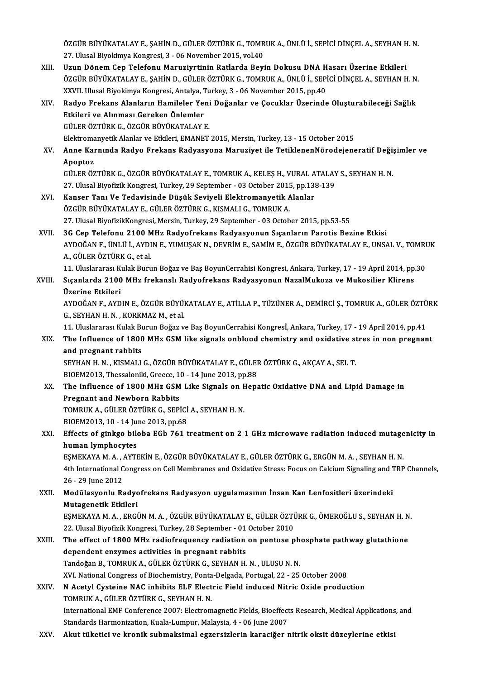ÖZGÜR BÜYÜKATALAY E., ŞAHİN D., GÜLER ÖZTÜRK G., TOMRUK A., ÜNLÜ İ., SEPİCİ DİNÇEL A., SEYHAN H. N.<br>27. Ulusal Biyakimya Kangresi, 3., 96 November 2015, yal 49 özgür Büyükatalay E., Şahin D., Güler öztürk G., TOMR<br>27. Ulusal Biyokimya Kongresi, 3 - 06 November 2015, vol.40<br>Uzun Dönem Cen Telefeny Menygiyutinin Betlanda Bevi ÖZGÜR BÜYÜKATALAY E., ŞAHİN D., GÜLER ÖZTÜRK G., TOMRUK A., ÜNLÜ İ., SEPİCİ DİNÇEL A., SEYHAN H<br>27. Ulusal Biyokimya Kongresi, 3 - 06 November 2015, vol.40<br>XIII. Uzun Dönem Cep Telefonu Maruziyrtinin Ratlarda Beyin Dok

- 27. Ulusal Biyokimya Kongresi, 3 06 November 2015, vol.40<br>Uzun Dönem Cep Telefonu Maruziyrtinin Ratlarda Beyin Dokusu DNA Hasarı Üzerine Etkileri<br>ÖZGÜR BÜYÜKATALAY E., ŞAHİN D., GÜLER ÖZTÜRK G., TOMRUK A., ÜNLÜ İ., SEPİC Uzun Dönem Cep Telefonu Maruziyrtinin Ratlarda Beyin Dokusu DNA H<br>ÖZGÜR BÜYÜKATALAY E., ŞAHİN D., GÜLER ÖZTÜRK G., TOMRUK A., ÜNLÜ İ., SEPİ<br>XXVII. Ulusal Biyokimya Kongresi, Antalya, Turkey, 3 - 06 November 2015, pp.40<br>Bad XXVII. Ulusal Biyokimya Kongresi, Antalya, Turkey, 3 - 06 November 2015, pp.40
- XIV. Radyo Frekans Alanların Hamileler Yeni Doğanlar ve Çocuklar Üzerinde Oluşturabileceği Sağlık GÜLERÖZTÜRKG.,ÖZGÜRBÜYÜKATALAYE. ElektromanyetikAlanlar veEtkileri,EMANET2015,Mersin,Turkey,13 -15October 2015 GÜLER ÖZTÜRK G., ÖZGÜR BÜYÜKATALAY E.<br>Elektromanyetik Alanlar ve Etkileri, EMANET 2015, Mersin, Turkey, 13 - 15 October 2015<br>XV. Anne Karnında Radyo Frekans Radyasyona Maruziyet ile TetiklenenNörodejeneratif Değişimler
- Elektroma<br><mark>Anne Kai</mark><br>Apoptoz<br>CÜLEP ÖZ Anne Karnında Radyo Frekans Radyasyona Maruziyet ile TetiklenenNörodejeneratif Değiş<br>Apoptoz<br>GÜLER ÖZTÜRK G., ÖZGÜR BÜYÜKATALAY E., TOMRUK A., KELEŞ H., VURAL ATALAY S., SEYHAN H. N.<br>27 Hlucel Biyofizik Kongresi Turkey, 29 Apoptoz<br>GÜLER ÖZTÜRK G., ÖZGÜR BÜYÜKATALAY E., TOMRUK A., KELEŞ H., VURAL ATALAY S., SEYHAN H. N.<br>27. Ulusal Biyofizik Kongresi, Turkey, 29 September - 03 October 2015, pp.138-139

- GÜLER ÖZTÜRK G., ÖZGÜR BÜYÜKATALAY E., TOMRUK A., KELEŞ H., VURAL A<br>27. Ulusal Biyofizik Kongresi, Turkey, 29 September 03 October 2015, pp.13;<br>XVI. Kanser Tanı Ve Tedavisinde Düşük Seviyeli Elektromanyetik Alanlar<br>ÖZCÜP 27. Ulusal Biyofizik Kongresi, Turkey, 29 September - 03 October 2015<br>Kanser Tanı Ve Tedavisinde Düşük Seviyeli Elektromanyetik A<br>ÖZGÜR BÜYÜKATALAY E., GÜLER ÖZTÜRK G., KISMALI G., TOMRUK A.<br>27. Ulusal BiyofizikKongresi, M ÖZGÜR BÜYÜKATALAY E., GÜLER ÖZTÜRK G., KISMALI G., TOMRUK A.<br>27. Ulusal BiyofizikKongresi, Mersin, Turkey, 29 September - 03 October 2015, pp.53-55 ÖZGÜR BÜYÜKATALAY E., GÜLER ÖZTÜRK G., KISMALI G., TOMRUK A.<br>27. Ulusal BiyofizikKongresi, Mersin, Turkey, 29 September - 03 October 2015, pp.53-55<br>XVII. 3G Cep Telefonu 2100 MHz Radyofrekans Radyasyonun Sıçanların Parotis
- AYDOĞAN F., ÜNLÜ İ., AYDIN E., YUMUŞAK N., DEVRİM E., SAMİM E., ÖZGÜR BÜYÜKATALAY E., UNSAL V., TOMRUK<br>A., GÜLER ÖZTÜRK G., et al. 3G Cep Telefonu 2100 M<br>AYDOĞAN F., ÜNLÜ İ., AYDI<br>A., GÜLER ÖZTÜRK G., et al.<br>11 Hluslararası Kulak Bunu AYDOĞAN F., ÜNLÜ İ., AYDIN E., YUMUŞAK N., DEVRİM E., SAMİM E., ÖZGÜR BÜYÜKATALAY E., UNSAL V., TOMRI<br>A., GÜLER ÖZTÜRK G., et al.<br>11. Uluslararası Kulak Burun Boğaz ve Baş BoyunCerrahisi Kongresi, Ankara, Turkey, 17 - 19 A

A., GÜLER ÖZTÜRK G., et al.<br>11. Uluslararası Kulak Burun Boğaz ve Baş BoyunCerrahisi Kongresi, Ankara, Turkey, 17 - 19 April 2014, pp.<br>11. Sıçanlarda 2100 MHz frekanslı Radyofrekans Radyasyonun NazalMukoza ve Mukosilier Kl 11. Uluslararası K<br>Sıçanlarda 2100<br>Üzerine Etkileri<br>AVDOČAN E. AVD Sıçanlarda 2100 MHz frekanslı Radyofrekans Radyasyonun NazalMukoza ve Mukosilier Klirens<br>Üzerine Etkileri<br>AYDOĞAN F., AYDIN E., ÖZGÜR BÜYÜKATALAY E., ATİLLA P., TÜZÜNER A., DEMİRCİ Ş., TOMRUK A., GÜLER ÖZTÜRK<br>C. SEVHAN H.N

<mark>Üzerine Etkileri</mark><br>AYDOĞAN F., AYDIN E., ÖZGÜR BÜYÜ!<br>G., SEYHAN H. N. , KORKMAZ M., et al.<br>11. Uluslararası Kulak Burun Boğar v. AYDOĞAN F., AYDIN E., ÖZGÜR BÜYÜKATALAY E., ATİLLA P., TÜZÜNER A., DEMİRCİ Ş., TOMRUK A., GÜLER ÖZTÜ<br>G., SEYHAN H. N. , KORKMAZ M., et al.<br>11. Uluslararası Kulak Burun Boğaz ve Baş BoyunCerrahisi Kongresİ, Ankara, Turkey,

G., SEYHAN H. N. , KORKMAZ M., et al.<br>11. Uluslararası Kulak Burun Boğaz ve Baş BoyunCerrahisi Kongresİ, Ankara, Turkey, 17 - 19 April 2014, pp.41<br>XIX. The Influence of 1800 MHz GSM like signals onblood chemistry and o 11. Uluslararası Kulak Bu<br>The Influence of 1800<br>and pregnant rabbits<br>SEVUAN U.N. KISMALI The Influence of 1800 MHz GSM like signals onblood chemistry and oxidative st<br>and pregnant rabbits<br>SEYHAN H. N. , KISMALI G., ÖZGÜR BÜYÜKATALAY E., GÜLER ÖZTÜRK G., AKÇAY A., SEL T.<br>PIOEM2012 Thessalaniki Creese 10, 14 kun

and pregnant rabbits<br>SEYHAN H. N. , KISMALI G., ÖZGÜR BÜYÜKATALAY E., GÜLEI<br>BIOEM2013, Thessaloniki, Greece, 10 - 14 June 2013, pp.88<br>The Influence of 1800 MHz CSM Like Signels en Heng

# SEYHAN H. N. , KISMALI G., ÖZGÜR BÜYÜKATALAY E., GÜLER ÖZTÜRK G., AKÇAY A., SEL T.<br>BIOEM2013, Thessaloniki, Greece, 10 - 14 June 2013, pp.88<br>XX. The Influence of 1800 MHz GSM Like Signals on Hepatic Oxidative DNA and L BIOEM2013, Thessaloniki, Greece, 19<br>The Influence of 1800 MHz GSM<br>Pregnant and Newborn Rabbits<br>TOMBUK A. CÜLER ÖZTÜRK C. SERI The Influence of 1800 MHz GSM Like Signals on F<br>Pregnant and Newborn Rabbits<br>TOMRUK A., GÜLER ÖZTÜRK G., SEPİCİ A., SEYHAN H. N.<br>PIOEM2012 10 . 14 June 2012, np.69

Pregnant and Newborn Rabbits<br>TOMRUK A., GÜLER ÖZTÜRK G., SEPİCİ<br>BIOEM2013, 10 - 14 June 2013, pp.68<br>Effecte of sinkse bilebe ECb 761 t

TOMRUK A., GÜLER ÖZTÜRK G., SEPİCİ A., SEYHAN H. N.<br>BIOEM2013, 10 - 14 June 2013, pp.68<br>XXI. Effects of ginkgo biloba EGb 761 treatment on 2 1 GHz microwave radiation induced mutagenicity in<br>human lumphagytas BIOEM2013, 10 - 14 June 2013, pp.68<br>Effects of ginkgo biloba EGb 761<br>human lymphocytes

Effects of ginkgo biloba EGb 761 treatment on 2 1 GHz microwave radiation induced mutage<br>human lymphocytes<br>EŞMEKAYA M.A., AYTEKİN E., ÖZGÜR BÜYÜKATALAY E., GÜLER ÖZTÜRK G., ERGÜN M.A., SEYHAN H. N.<br>4th International Congre 4th International Congress on Cell Membranes and Oxidative Stress: Focus on Calcium Signaling and TRP Channels,<br>26 - 29 June 2012 ESMEKAYA M. A., AYTEKIN E., ÖZGÜR BÜYÜKATALAY E., GÜLER ÖZTÜRK G., ERGÜN M. A., SEYHAN H. N. 4th International Congress on Cell Membranes and Oxidative Stress: Focus on Calcium Signaling and 1<br>26 - 29 June 2012<br>XXII. Modülasyonlu Radyofrekans Radyasyon uygulamasının İnsan Kan Lenfositleri üzerindeki<br>Mutagonatik Et

# 26 - 29 June 2012<br>Modülasyonlu Radyo<br>Mutagenetik Etkileri<br>ESMEKAVA M.A., ERCİ Modülasyonlu Radyofrekans Radyasyon uygulamasının İnsan Kan Lenfositleri üzerindeki<br>Mutagenetik Etkileri<br>EŞMEKAYA M.A., ERGÜN M.A., ÖZGÜR BÜYÜKATALAY E., GÜLER ÖZTÜRK G., ÖMEROĞLU S., SEYHAN H.N.<br>22 Ulusal Piyofizik Kongre

Mutagenetik Etkileri<br>EŞMEKAYA M. A. , ERGÜN M. A. , ÖZGÜR BÜYÜKATALAY E., GÜLER ÖZTİ<br>22. Ulusal Biyofizik Kongresi, Turkey, 28 September - 01 October 2010<br>The effect of 1800 MHz rediefrequency redistion en nentese n EŞMEKAYA M. A. , ERGÜN M. A. , ÖZGÜR BÜYÜKATALAY E., GÜLER ÖZTÜRK G., ÖMEROĞLU S., SEYHAN H. N<br>22. Ulusal Biyofizik Kongresi, Turkey, 28 September - 01 October 2010<br>XXIII. The effect of 1800 MHz radiofrequency radiatio

# 22. Ulusal Biyofizik Kongresi, Turkey, 28 September - 01<br>The effect of 1800 MHz radiofrequency radiation<br>dependent enzymes activities in pregnant rabbits<br>Tandeğan B. TOMBUK A. CÜLED ÖZTÜRK C. SEVHAN H The effect of 1800 MHz radiofrequency radiation on pentose ph<br>dependent enzymes activities in pregnant rabbits<br>Tandoğan B., TOMRUK A., GÜLER ÖZTÜRK G., SEYHAN H. N. , ULUSU N. N.<br>YUL National Congress of Bioshemistry, Pent dependent enzymes activities in pregnant rabbits<br>Tandoğan B., TOMRUK A., GÜLER ÖZTÜRK G., SEYHAN H. N. , ULUSU N. N.<br>XVI. National Congress of Biochemistry, Ponta-Delgada, Portugal, 22 - 25 October 2008

## Tandoğan B., TOMRUK A., GÜLER ÖZTÜRK G., SEYHAN H. N. , ULUSU N. N.<br>XVI. National Congress of Biochemistry, Ponta-Delgada, Portugal, 22 - 25 October 2008<br>XXIV. N Acetyl Cysteine NAC inhibits ELF Electric Field induced Nitr XVI. National Congress of Biochemistry, Ponta<br>N Acetyl Cysteine NAC inhibits ELF Elect<br>TOMRUK A., GÜLER ÖZTÜRK G., SEYHAN H. N.<br>International EME Conference 2007: Electrom N Acetyl Cysteine NAC inhibits ELF Electric Field induced Nitric Oxide production<br>TOMRUK A., GÜLER ÖZTÜRK G., SEYHAN H. N.<br>International EMF Conference 2007: Electromagnetic Fields, Bioeffects Research, Medical Application TOMRUK A., GÜLER ÖZTÜRK G., SEYHAN H. N.<br>International EMF Conference 2007: Electromagnetic Fields, Bioeffects Research, Medical Applications, and<br>Standards Harmonization, Kuala-Lumpur, Malaysia, 4 - 06 June 2007

XXV. Akut tüketici ve kronik submaksimal egzersizlerin karaciğer nitrik oksit düzeylerine etkisi